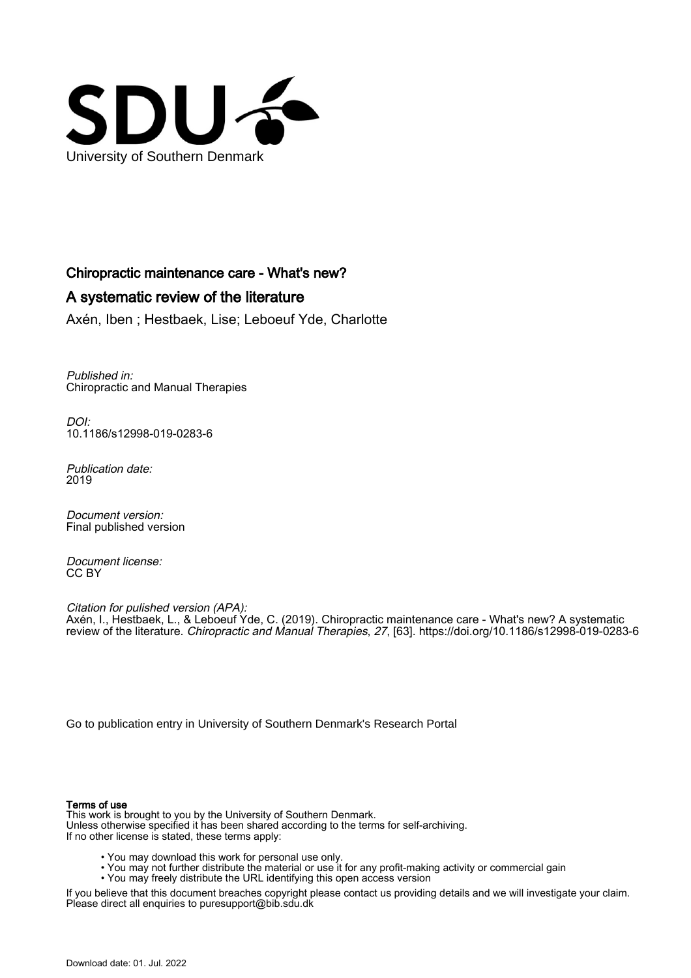

## Chiropractic maintenance care - What's new?

## A systematic review of the literature

Axén, Iben ; Hestbaek, Lise; Leboeuf Yde, Charlotte

Published in: Chiropractic and Manual Therapies

DOI: [10.1186/s12998-019-0283-6](https://doi.org/10.1186/s12998-019-0283-6)

Publication date: 2019

Document version: Final published version

Document license: CC BY

Citation for pulished version (APA): Axén, I., Hestbaek, L., & Leboeuf Yde, C. (2019). Chiropractic maintenance care - What's new? A systematic review of the literature. Chiropractic and Manual Therapies, 27, [63]. <https://doi.org/10.1186/s12998-019-0283-6>

[Go to publication entry in University of Southern Denmark's Research Portal](https://portal.findresearcher.sdu.dk/en/publications/53034972-a46c-4e9c-a099-397b823505f4)

#### Terms of use

This work is brought to you by the University of Southern Denmark. Unless otherwise specified it has been shared according to the terms for self-archiving. If no other license is stated, these terms apply:

- You may download this work for personal use only.
- You may not further distribute the material or use it for any profit-making activity or commercial gain
- You may freely distribute the URL identifying this open access version

If you believe that this document breaches copyright please contact us providing details and we will investigate your claim. Please direct all enquiries to puresupport@bib.sdu.dk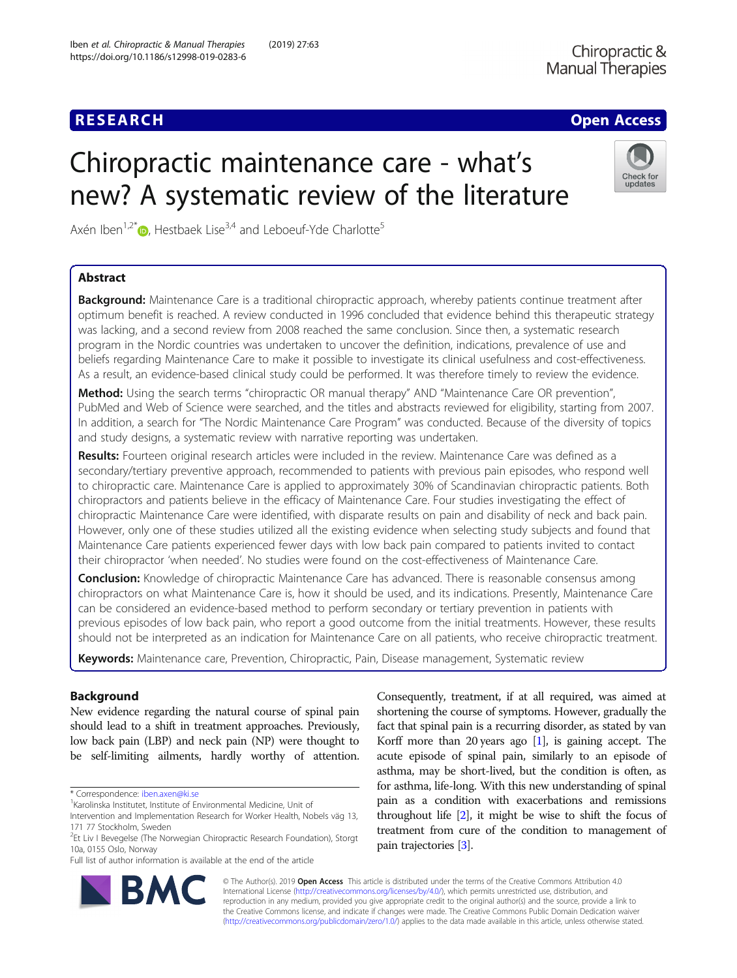# **RESEARCH CHE Open Access**

Check for updates

# Chiropractic maintenance care - what's new? A systematic review of the literature

Axén Iben<sup>1,2[\\*](http://orcid.org/0000-0001-5251-5995)</sup>  $\bullet$ , Hestbaek Lise<sup>3,4</sup> and Leboeuf-Yde Charlotte<sup>5</sup>

## Abstract

Background: Maintenance Care is a traditional chiropractic approach, whereby patients continue treatment after optimum benefit is reached. A review conducted in 1996 concluded that evidence behind this therapeutic strategy was lacking, and a second review from 2008 reached the same conclusion. Since then, a systematic research program in the Nordic countries was undertaken to uncover the definition, indications, prevalence of use and beliefs regarding Maintenance Care to make it possible to investigate its clinical usefulness and cost-effectiveness. As a result, an evidence-based clinical study could be performed. It was therefore timely to review the evidence.

Method: Using the search terms "chiropractic OR manual therapy" AND "Maintenance Care OR prevention", PubMed and Web of Science were searched, and the titles and abstracts reviewed for eligibility, starting from 2007. In addition, a search for "The Nordic Maintenance Care Program" was conducted. Because of the diversity of topics and study designs, a systematic review with narrative reporting was undertaken.

Results: Fourteen original research articles were included in the review. Maintenance Care was defined as a secondary/tertiary preventive approach, recommended to patients with previous pain episodes, who respond well to chiropractic care. Maintenance Care is applied to approximately 30% of Scandinavian chiropractic patients. Both chiropractors and patients believe in the efficacy of Maintenance Care. Four studies investigating the effect of chiropractic Maintenance Care were identified, with disparate results on pain and disability of neck and back pain. However, only one of these studies utilized all the existing evidence when selecting study subjects and found that Maintenance Care patients experienced fewer days with low back pain compared to patients invited to contact their chiropractor 'when needed'. No studies were found on the cost-effectiveness of Maintenance Care.

**Conclusion:** Knowledge of chiropractic Maintenance Care has advanced. There is reasonable consensus among chiropractors on what Maintenance Care is, how it should be used, and its indications. Presently, Maintenance Care can be considered an evidence-based method to perform secondary or tertiary prevention in patients with previous episodes of low back pain, who report a good outcome from the initial treatments. However, these results should not be interpreted as an indication for Maintenance Care on all patients, who receive chiropractic treatment.

Keywords: Maintenance care, Prevention, Chiropractic, Pain, Disease management, Systematic review

### Background

New evidence regarding the natural course of spinal pain should lead to a shift in treatment approaches. Previously, low back pain (LBP) and neck pain (NP) were thought to be self-limiting ailments, hardly worthy of attention.

\* Correspondence: [iben.axen@ki.se](mailto:iben.axen@ki.se) <sup>1</sup>

Consequently, treatment, if at all required, was aimed at shortening the course of symptoms. However, gradually the fact that spinal pain is a recurring disorder, as stated by van Korff more than 20 years ago [[1](#page-8-0)], is gaining accept. The acute episode of spinal pain, similarly to an episode of asthma, may be short-lived, but the condition is often, as for asthma, life-long. With this new understanding of spinal pain as a condition with exacerbations and remissions throughout life [\[2\]](#page-8-0), it might be wise to shift the focus of treatment from cure of the condition to management of pain trajectories [[3](#page-8-0)].



© The Author(s). 2019 Open Access This article is distributed under the terms of the Creative Commons Attribution 4.0 International License [\(http://creativecommons.org/licenses/by/4.0/](http://creativecommons.org/licenses/by/4.0/)), which permits unrestricted use, distribution, and reproduction in any medium, provided you give appropriate credit to the original author(s) and the source, provide a link to the Creative Commons license, and indicate if changes were made. The Creative Commons Public Domain Dedication waiver [\(http://creativecommons.org/publicdomain/zero/1.0/](http://creativecommons.org/publicdomain/zero/1.0/)) applies to the data made available in this article, unless otherwise stated.

<sup>&</sup>lt;sup>1</sup> Karolinska Institutet, Institute of Environmental Medicine, Unit of

Intervention and Implementation Research for Worker Health, Nobels väg 13, 171 77 Stockholm, Sweden

<sup>&</sup>lt;sup>2</sup>Et Liv I Bevegelse (The Norwegian Chiropractic Research Foundation), Storgt 10a, 0155 Oslo, Norway

Full list of author information is available at the end of the article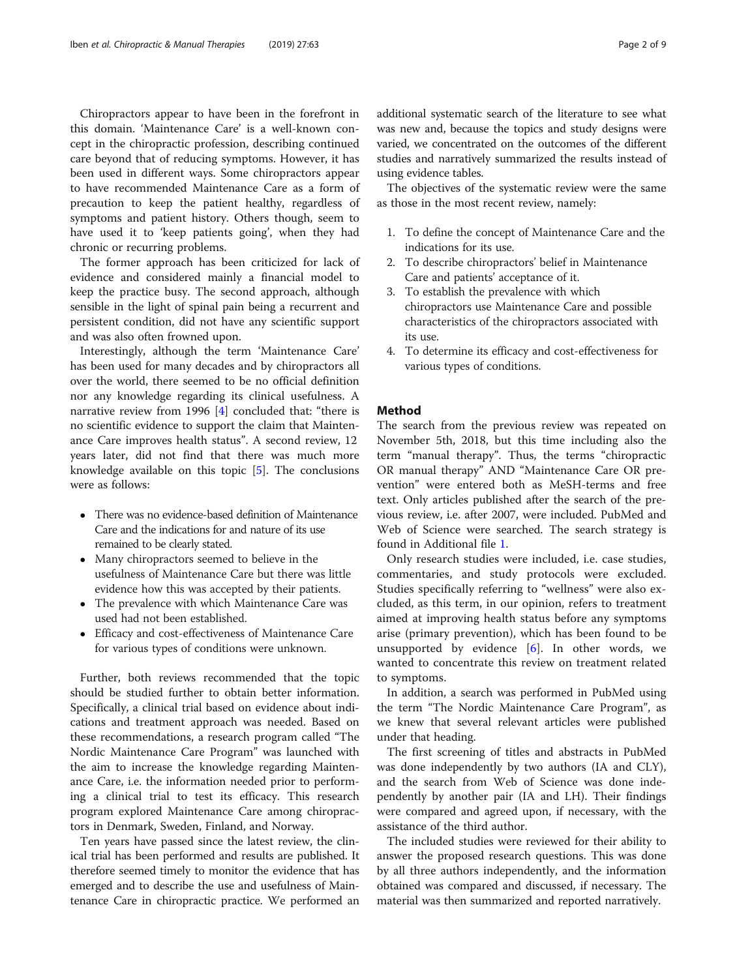Chiropractors appear to have been in the forefront in this domain. 'Maintenance Care' is a well-known concept in the chiropractic profession, describing continued care beyond that of reducing symptoms. However, it has been used in different ways. Some chiropractors appear to have recommended Maintenance Care as a form of precaution to keep the patient healthy, regardless of symptoms and patient history. Others though, seem to have used it to 'keep patients going', when they had chronic or recurring problems.

The former approach has been criticized for lack of evidence and considered mainly a financial model to keep the practice busy. The second approach, although sensible in the light of spinal pain being a recurrent and persistent condition, did not have any scientific support and was also often frowned upon.

Interestingly, although the term 'Maintenance Care' has been used for many decades and by chiropractors all over the world, there seemed to be no official definition nor any knowledge regarding its clinical usefulness. A narrative review from 1996 [[4\]](#page-8-0) concluded that: "there is no scientific evidence to support the claim that Maintenance Care improves health status". A second review, 12 years later, did not find that there was much more knowledge available on this topic [\[5\]](#page-8-0). The conclusions were as follows:

- There was no evidence-based definition of Maintenance Care and the indications for and nature of its use remained to be clearly stated.
- Many chiropractors seemed to believe in the usefulness of Maintenance Care but there was little evidence how this was accepted by their patients.
- The prevalence with which Maintenance Care was used had not been established.
- Efficacy and cost-effectiveness of Maintenance Care for various types of conditions were unknown.

Further, both reviews recommended that the topic should be studied further to obtain better information. Specifically, a clinical trial based on evidence about indications and treatment approach was needed. Based on these recommendations, a research program called "The Nordic Maintenance Care Program" was launched with the aim to increase the knowledge regarding Maintenance Care, i.e. the information needed prior to performing a clinical trial to test its efficacy. This research program explored Maintenance Care among chiropractors in Denmark, Sweden, Finland, and Norway.

Ten years have passed since the latest review, the clinical trial has been performed and results are published. It therefore seemed timely to monitor the evidence that has emerged and to describe the use and usefulness of Maintenance Care in chiropractic practice. We performed an additional systematic search of the literature to see what was new and, because the topics and study designs were varied, we concentrated on the outcomes of the different studies and narratively summarized the results instead of using evidence tables.

The objectives of the systematic review were the same as those in the most recent review, namely:

- 1. To define the concept of Maintenance Care and the indications for its use.
- 2. To describe chiropractors' belief in Maintenance Care and patients' acceptance of it.
- 3. To establish the prevalence with which chiropractors use Maintenance Care and possible characteristics of the chiropractors associated with its use.
- 4. To determine its efficacy and cost-effectiveness for various types of conditions.

#### Method

The search from the previous review was repeated on November 5th, 2018, but this time including also the term "manual therapy". Thus, the terms "chiropractic OR manual therapy" AND "Maintenance Care OR prevention" were entered both as MeSH-terms and free text. Only articles published after the search of the previous review, i.e. after 2007, were included. PubMed and Web of Science were searched. The search strategy is found in Additional file [1.](#page-8-0)

Only research studies were included, i.e. case studies, commentaries, and study protocols were excluded. Studies specifically referring to "wellness" were also excluded, as this term, in our opinion, refers to treatment aimed at improving health status before any symptoms arise (primary prevention), which has been found to be unsupported by evidence  $[6]$  $[6]$ . In other words, we wanted to concentrate this review on treatment related to symptoms.

In addition, a search was performed in PubMed using the term "The Nordic Maintenance Care Program", as we knew that several relevant articles were published under that heading.

The first screening of titles and abstracts in PubMed was done independently by two authors (IA and CLY), and the search from Web of Science was done independently by another pair (IA and LH). Their findings were compared and agreed upon, if necessary, with the assistance of the third author.

The included studies were reviewed for their ability to answer the proposed research questions. This was done by all three authors independently, and the information obtained was compared and discussed, if necessary. The material was then summarized and reported narratively.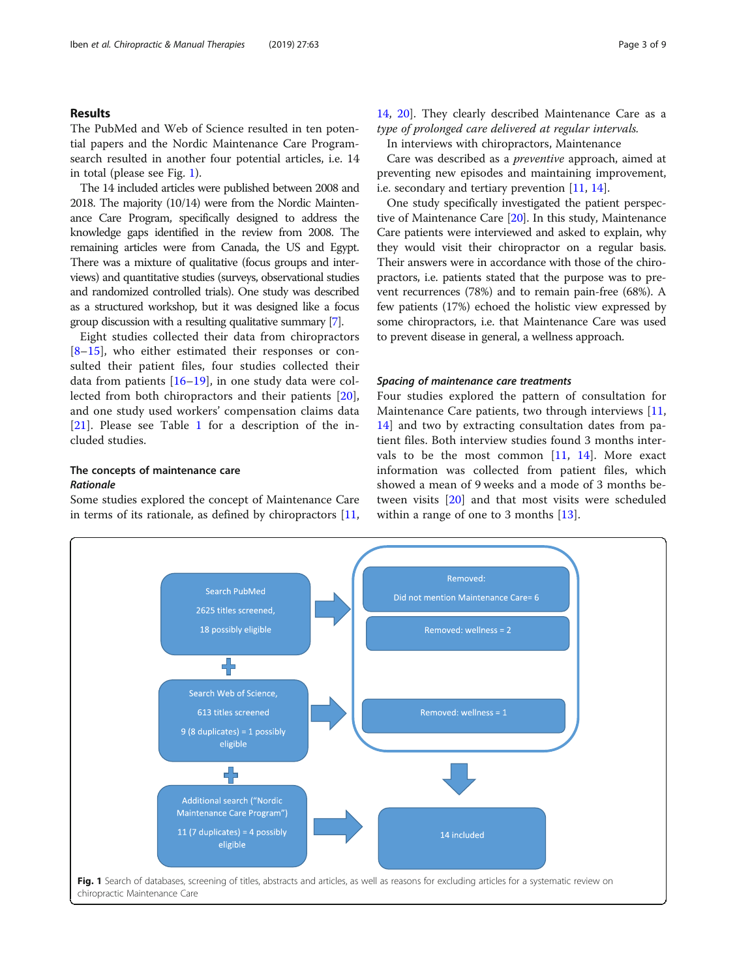#### Results

The PubMed and Web of Science resulted in ten potential papers and the Nordic Maintenance Care Programsearch resulted in another four potential articles, i.e. 14 in total (please see Fig. 1).

The 14 included articles were published between 2008 and 2018. The majority (10/14) were from the Nordic Maintenance Care Program, specifically designed to address the knowledge gaps identified in the review from 2008. The remaining articles were from Canada, the US and Egypt. There was a mixture of qualitative (focus groups and interviews) and quantitative studies (surveys, observational studies and randomized controlled trials). One study was described as a structured workshop, but it was designed like a focus group discussion with a resulting qualitative summary [\[7](#page-8-0)].

Eight studies collected their data from chiropractors [[8](#page-8-0)–[15\]](#page-9-0), who either estimated their responses or consulted their patient files, four studies collected their data from patients [\[16](#page-9-0)–[19](#page-9-0)], in one study data were collected from both chiropractors and their patients [\[20](#page-9-0)], and one study used workers' compensation claims data [[21\]](#page-9-0). Please see Table [1](#page-4-0) for a description of the included studies.

# The concepts of maintenance care

Some studies explored the concept of Maintenance Care in terms of its rationale, as defined by chiropractors [[11](#page-9-0), [14,](#page-9-0) [20](#page-9-0)]. They clearly described Maintenance Care as a type of prolonged care delivered at regular intervals.

In interviews with chiropractors, Maintenance

Care was described as a preventive approach, aimed at preventing new episodes and maintaining improvement, i.e. secondary and tertiary prevention [[11,](#page-9-0) [14\]](#page-9-0).

One study specifically investigated the patient perspective of Maintenance Care [[20\]](#page-9-0). In this study, Maintenance Care patients were interviewed and asked to explain, why they would visit their chiropractor on a regular basis. Their answers were in accordance with those of the chiropractors, i.e. patients stated that the purpose was to prevent recurrences (78%) and to remain pain-free (68%). A few patients (17%) echoed the holistic view expressed by some chiropractors, i.e. that Maintenance Care was used to prevent disease in general, a wellness approach.

Four studies explored the pattern of consultation for Maintenance Care patients, two through interviews [\[11](#page-9-0), [14\]](#page-9-0) and two by extracting consultation dates from patient files. Both interview studies found 3 months intervals to be the most common [[11,](#page-9-0) [14\]](#page-9-0). More exact information was collected from patient files, which showed a mean of 9 weeks and a mode of 3 months between visits [[20\]](#page-9-0) and that most visits were scheduled within a range of one to 3 months [[13\]](#page-9-0).

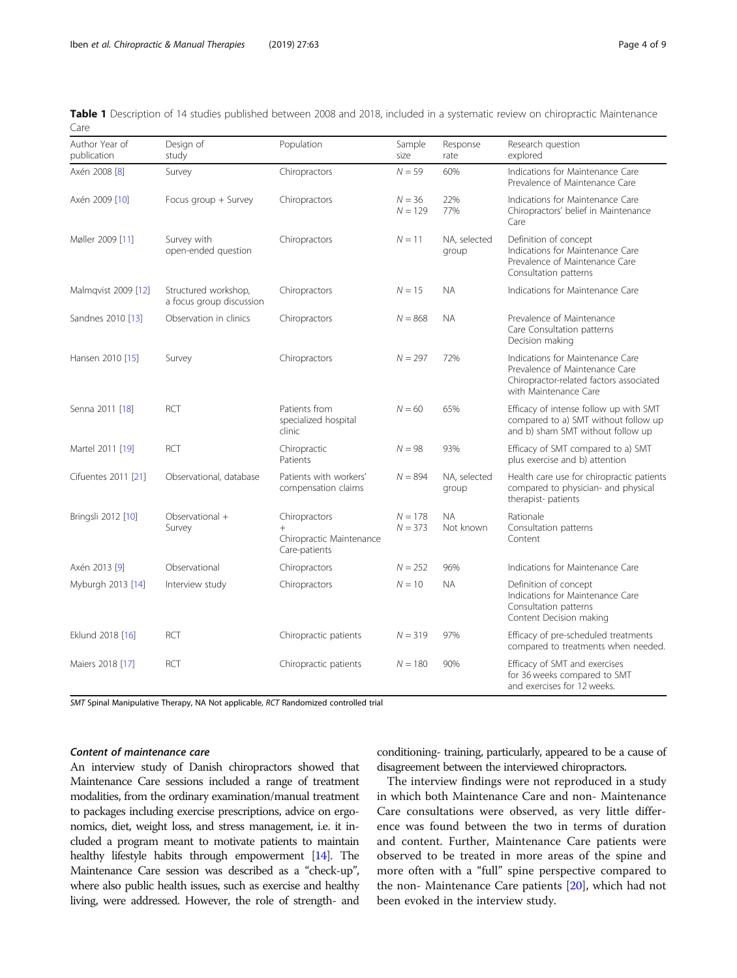| Author Year of<br>publication | Design of<br>study                               | Population                                                           | Sample<br>size         | Response<br>rate       | Research question<br>explored                                                                                                          |
|-------------------------------|--------------------------------------------------|----------------------------------------------------------------------|------------------------|------------------------|----------------------------------------------------------------------------------------------------------------------------------------|
| Axén 2008 [8]                 | Survey                                           | Chiropractors                                                        | $N = 59$               | 60%                    | Indications for Maintenance Care<br>Prevalence of Maintenance Care                                                                     |
| Axén 2009 [10]                | Focus group + Survey                             | Chiropractors                                                        | $N = 36$<br>$N = 129$  | 22%<br>77%             | Indications for Maintenance Care<br>Chiropractors' belief in Maintenance<br>Care                                                       |
| Møller 2009 [11]              | Survey with<br>open-ended question               | Chiropractors                                                        | $N = 11$               | NA, selected<br>group  | Definition of concept<br>Indications for Maintenance Care<br>Prevalence of Maintenance Care<br>Consultation patterns                   |
| Malmqvist 2009 [12]           | Structured workshop,<br>a focus group discussion | Chiropractors                                                        | $N = 15$               | <b>NA</b>              | Indications for Maintenance Care                                                                                                       |
| Sandnes 2010 [13]             | Observation in clinics                           | Chiropractors                                                        | $N = 868$              | <b>NA</b>              | Prevalence of Maintenance<br>Care Consultation patterns<br>Decision making                                                             |
| Hansen 2010 [15]              | Survey                                           | Chiropractors                                                        | $N = 297$              | 72%                    | Indications for Maintenance Care<br>Prevalence of Maintenance Care<br>Chiropractor-related factors associated<br>with Maintenance Care |
| Senna 2011 [18]               | RCT                                              | Patients from<br>specialized hospital<br>clinic                      | $N = 60$               | 65%                    | Efficacy of intense follow up with SMT<br>compared to a) SMT without follow up<br>and b) sham SMT without follow up                    |
| Martel 2011 [19]              | <b>RCT</b>                                       | Chiropractic<br>Patients                                             | $N = 98$               | 93%                    | Efficacy of SMT compared to a) SMT<br>plus exercise and b) attention                                                                   |
| Cifuentes 2011 [21]           | Observational, database                          | Patients with workers'<br>compensation claims                        | $N = 894$              | NA, selected<br>group  | Health care use for chiropractic patients<br>compared to physician- and physical<br>therapist-patients                                 |
| Bringsli 2012 [10]            | Observational +<br>Survey                        | Chiropractors<br>$^{+}$<br>Chiropractic Maintenance<br>Care-patients | $N = 178$<br>$N = 373$ | <b>NA</b><br>Not known | Rationale<br>Consultation patterns<br>Content                                                                                          |
| Axén 2013 [9]                 | Observational                                    | Chiropractors                                                        | $N = 252$              | 96%                    | Indications for Maintenance Care                                                                                                       |
| Myburgh 2013 [14]             | Interview study                                  | Chiropractors                                                        | $N = 10$               | <b>NA</b>              | Definition of concept<br>Indications for Maintenance Care<br>Consultation patterns<br>Content Decision making                          |
| Eklund 2018 [16]              | RCT                                              | Chiropractic patients                                                | $N = 319$              | 97%                    | Efficacy of pre-scheduled treatments<br>compared to treatments when needed.                                                            |
| Maiers 2018 [17]              | <b>RCT</b>                                       | Chiropractic patients                                                | $N = 180$              | 90%                    | Efficacy of SMT and exercises<br>for 36 weeks compared to SMT<br>and exercises for 12 weeks.                                           |

<span id="page-4-0"></span>Table 1 Description of 14 studies published between 2008 and 2018, included in a systematic review on chiropractic Maintenance Care

SMT Spinal Manipulative Therapy, NA Not applicable, RCT Randomized controlled trial

An interview study of Danish chiropractors showed that Maintenance Care sessions included a range of treatment modalities, from the ordinary examination/manual treatment to packages including exercise prescriptions, advice on ergonomics, diet, weight loss, and stress management, i.e. it included a program meant to motivate patients to maintain healthy lifestyle habits through empowerment [\[14](#page-9-0)]. The Maintenance Care session was described as a "check-up", where also public health issues, such as exercise and healthy living, were addressed. However, the role of strength- and conditioning- training, particularly, appeared to be a cause of disagreement between the interviewed chiropractors.

The interview findings were not reproduced in a study in which both Maintenance Care and non- Maintenance Care consultations were observed, as very little difference was found between the two in terms of duration and content. Further, Maintenance Care patients were observed to be treated in more areas of the spine and more often with a "full" spine perspective compared to the non- Maintenance Care patients [[20\]](#page-9-0), which had not been evoked in the interview study.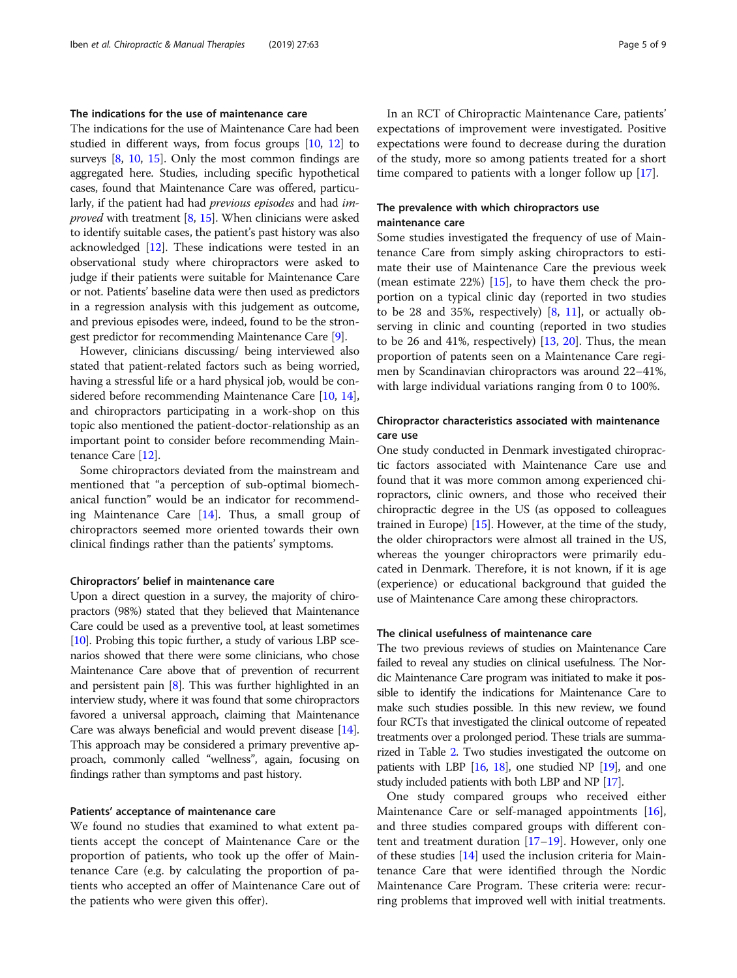#### The indications for the use of maintenance care

The indications for the use of Maintenance Care had been studied in different ways, from focus groups [\[10,](#page-9-0) [12\]](#page-9-0) to surveys [\[8,](#page-8-0) [10](#page-9-0), [15](#page-9-0)]. Only the most common findings are aggregated here. Studies, including specific hypothetical cases, found that Maintenance Care was offered, particularly, if the patient had had previous episodes and had im*proved* with treatment  $[8, 15]$  $[8, 15]$  $[8, 15]$  $[8, 15]$ . When clinicians were asked to identify suitable cases, the patient's past history was also acknowledged [[12](#page-9-0)]. These indications were tested in an observational study where chiropractors were asked to judge if their patients were suitable for Maintenance Care or not. Patients' baseline data were then used as predictors in a regression analysis with this judgement as outcome, and previous episodes were, indeed, found to be the strongest predictor for recommending Maintenance Care [[9\]](#page-8-0).

However, clinicians discussing/ being interviewed also stated that patient-related factors such as being worried, having a stressful life or a hard physical job, would be considered before recommending Maintenance Care [[10](#page-9-0), [14](#page-9-0)], and chiropractors participating in a work-shop on this topic also mentioned the patient-doctor-relationship as an important point to consider before recommending Maintenance Care [[12](#page-9-0)].

Some chiropractors deviated from the mainstream and mentioned that "a perception of sub-optimal biomechanical function" would be an indicator for recommending Maintenance Care [\[14](#page-9-0)]. Thus, a small group of chiropractors seemed more oriented towards their own clinical findings rather than the patients' symptoms.

#### Chiropractors' belief in maintenance care

Upon a direct question in a survey, the majority of chiropractors (98%) stated that they believed that Maintenance Care could be used as a preventive tool, at least sometimes [[10](#page-9-0)]. Probing this topic further, a study of various LBP scenarios showed that there were some clinicians, who chose Maintenance Care above that of prevention of recurrent and persistent pain [\[8](#page-8-0)]. This was further highlighted in an interview study, where it was found that some chiropractors favored a universal approach, claiming that Maintenance Care was always beneficial and would prevent disease [\[14](#page-9-0)]. This approach may be considered a primary preventive approach, commonly called "wellness", again, focusing on findings rather than symptoms and past history.

#### Patients' acceptance of maintenance care

We found no studies that examined to what extent patients accept the concept of Maintenance Care or the proportion of patients, who took up the offer of Maintenance Care (e.g. by calculating the proportion of patients who accepted an offer of Maintenance Care out of the patients who were given this offer).

In an RCT of Chiropractic Maintenance Care, patients' expectations of improvement were investigated. Positive expectations were found to decrease during the duration of the study, more so among patients treated for a short time compared to patients with a longer follow up [\[17](#page-9-0)].

### The prevalence with which chiropractors use maintenance care

Some studies investigated the frequency of use of Maintenance Care from simply asking chiropractors to estimate their use of Maintenance Care the previous week (mean estimate 22%) [[15\]](#page-9-0), to have them check the proportion on a typical clinic day (reported in two studies to be 28 and 35%, respectively) [[8](#page-8-0), [11\]](#page-9-0), or actually observing in clinic and counting (reported in two studies to be 26 and 41%, respectively)  $[13, 20]$  $[13, 20]$  $[13, 20]$  $[13, 20]$ . Thus, the mean proportion of patents seen on a Maintenance Care regimen by Scandinavian chiropractors was around 22–41%, with large individual variations ranging from 0 to 100%.

### Chiropractor characteristics associated with maintenance care use

One study conducted in Denmark investigated chiropractic factors associated with Maintenance Care use and found that it was more common among experienced chiropractors, clinic owners, and those who received their chiropractic degree in the US (as opposed to colleagues trained in Europe) [\[15\]](#page-9-0). However, at the time of the study, the older chiropractors were almost all trained in the US, whereas the younger chiropractors were primarily educated in Denmark. Therefore, it is not known, if it is age (experience) or educational background that guided the use of Maintenance Care among these chiropractors.

#### The clinical usefulness of maintenance care

The two previous reviews of studies on Maintenance Care failed to reveal any studies on clinical usefulness. The Nordic Maintenance Care program was initiated to make it possible to identify the indications for Maintenance Care to make such studies possible. In this new review, we found four RCTs that investigated the clinical outcome of repeated treatments over a prolonged period. These trials are summarized in Table [2.](#page-6-0) Two studies investigated the outcome on patients with LBP  $[16, 18]$  $[16, 18]$  $[16, 18]$  $[16, 18]$ , one studied NP  $[19]$ , and one study included patients with both LBP and NP [\[17](#page-9-0)].

One study compared groups who received either Maintenance Care or self-managed appointments [\[16](#page-9-0)], and three studies compared groups with different content and treatment duration [[17](#page-9-0)–[19](#page-9-0)]. However, only one of these studies [[14\]](#page-9-0) used the inclusion criteria for Maintenance Care that were identified through the Nordic Maintenance Care Program. These criteria were: recurring problems that improved well with initial treatments.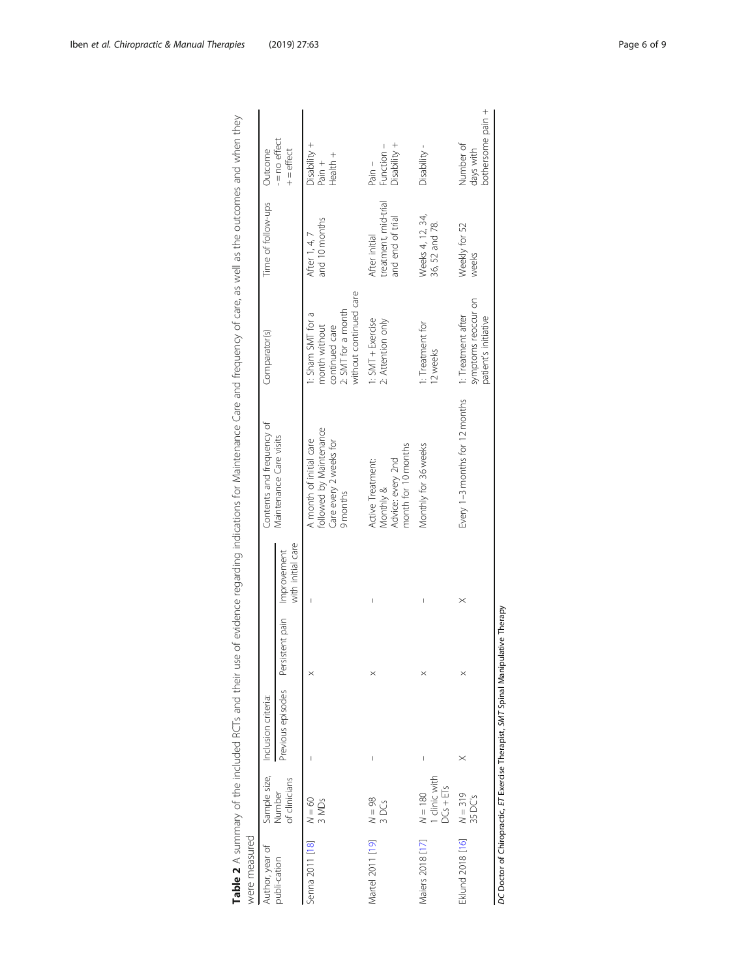| were measured              |                                         |                                                                     |                 |                                  |                                                                                          |                                                                                                      |                                                           |                                             |
|----------------------------|-----------------------------------------|---------------------------------------------------------------------|-----------------|----------------------------------|------------------------------------------------------------------------------------------|------------------------------------------------------------------------------------------------------|-----------------------------------------------------------|---------------------------------------------|
| Author, year of            |                                         | Sample size, Inclusion criteria:                                    |                 |                                  | Contents and frequency of                                                                | Comparator(s)                                                                                        | Time of follow-ups                                        | Outcome                                     |
| publi-cation               | of clinicians<br>Number                 | Previous episodes                                                   | Persistent pain | with initial care<br>Improvement | Maintenance Care visits                                                                  |                                                                                                      |                                                           | $=$ no effect<br>$+$ = $effect$             |
| Senna 2011 [18]            | $N = 60$<br>3 MDs                       |                                                                     |                 |                                  | followed by Maintenance<br>A month of initial care<br>Care every 2 weeks for<br>9 months | without continued care<br>2: SMT for a month<br>1: Sham SMT for a<br>continued care<br>month without | and 10 months<br>After 1, 4, 7                            | Disability +<br>Health +<br>$Pair +$        |
| Martel 2011 [19]           | $N = 98$<br>3DCS                        | $\overline{\phantom{a}}$                                            | ×               | ľ                                | month for 10 months<br>Advice: every 2nd<br>Active Treatment:<br>Monthly &               | 1: SMT + Exercise<br>2: Attention only                                                               | treatment, mid-trial<br>and end of trial<br>After initial | Tisability +<br>Function -<br>$Pair -$      |
| Maiers 2018 [17]           | clinic with<br>$DCs + ETs$<br>$N = 180$ | $\begin{array}{c} \hline \end{array}$                               |                 |                                  | Monthly for 36 weeks                                                                     | 1: Treatment for<br>12 weeks                                                                         | Weeks 4, 12, 34,<br>36, 52 and 78.                        | Disability -                                |
| Eklund 2018 [16] $N = 319$ | 35 DC's                                 |                                                                     |                 | $\times$                         | Every 1-3 months for 12 months                                                           | symptoms reoccur on<br>1: Treatment after<br>patient's initiative                                    | Weekly for 52<br>weeks                                    | bothersome pain +<br>Number of<br>days with |
|                            |                                         | DC Doctor of Chiropractic, ET Exercise Therapist, SMT Spinal Manipu | Jative Therapy  |                                  |                                                                                          |                                                                                                      |                                                           |                                             |

<span id="page-6-0"></span>

| ì<br>ï<br>í<br>J                                                                   |  |
|------------------------------------------------------------------------------------|--|
| Ç<br>l                                                                             |  |
| Ç<br>¢<br>١                                                                        |  |
| $\mathbf$<br>$\overline{a}$                                                        |  |
| ī<br>j<br>S                                                                        |  |
| ī<br>໌<br>ເ                                                                        |  |
| $\frac{1}{2}$<br>i<br>l<br>ļ                                                       |  |
| $\overline{\mathbf{C}}$<br>うりり<br>ţ                                                |  |
| ŧ                                                                                  |  |
| J<br>l                                                                             |  |
| ļ                                                                                  |  |
| i<br>l                                                                             |  |
| $\ddot{\phantom{a}}$<br>j                                                          |  |
|                                                                                    |  |
| r<br>Q<br>Ï<br>j<br>١                                                              |  |
| 5<br>j                                                                             |  |
| $-2$<br>J                                                                          |  |
| j                                                                                  |  |
| J<br>j<br>l                                                                        |  |
| $\overline{\phantom{a}}$<br>۶<br>J                                                 |  |
| l<br>.<br>)<br>1<br>i                                                              |  |
| ī<br>5                                                                             |  |
| ļ<br>j                                                                             |  |
| i<br>San<br>١<br>5)                                                                |  |
| I<br>۱<br>Ï<br>j                                                                   |  |
| i<br>j<br>ļ                                                                        |  |
| 5<br>$\mathfrak{g}$<br>ī<br>ç                                                      |  |
| j<br>¢<br>١<br>$\frac{1}{2}$                                                       |  |
| d<br>5<br>i                                                                        |  |
| ś                                                                                  |  |
| ¢<br>$\overline{\phantom{a}}$                                                      |  |
| ١<br>I<br>$\overline{a}$                                                           |  |
| i<br>i                                                                             |  |
| ₹<br>١                                                                             |  |
| $\overline{\phantom{a}}$                                                           |  |
| j<br>Ì<br>١<br>S                                                                   |  |
| ī<br>j<br>ś<br>J                                                                   |  |
| こくくら<br>j<br>J<br>J<br>j                                                           |  |
| $\frac{1}{2}$<br>l                                                                 |  |
| )<br>2<br>-<br>Ç                                                                   |  |
| )<br>2<br>I<br>l<br>ī<br>l,                                                        |  |
| Ï<br>١<br>j                                                                        |  |
| ICQ OT<br>ς                                                                        |  |
| .<br>Jor                                                                           |  |
|                                                                                    |  |
| J<br>1                                                                             |  |
|                                                                                    |  |
|                                                                                    |  |
|                                                                                    |  |
| ļ                                                                                  |  |
| ׇ֚֕֕<br>j<br>1                                                                     |  |
| ī<br>֖֖֖֖֖֖֧ׅ֖֖֧֪ׅ֖֧֧ׅ֖֧֖֧֚֚֚֚֚֚֚֚֚֚֚֚֚֚֚֚֚֚֚֚֚֚֚֚֡֝֝֝֝֓֝֓֞֝֬֓֞֝֓֞֞֝֬<br>í<br>ׇ֖֬֕ |  |
|                                                                                    |  |
| ï                                                                                  |  |
|                                                                                    |  |
|                                                                                    |  |
| 5<br>Ó                                                                             |  |
| ļ<br>ś                                                                             |  |
| í<br>١                                                                             |  |
|                                                                                    |  |
|                                                                                    |  |
| I                                                                                  |  |
|                                                                                    |  |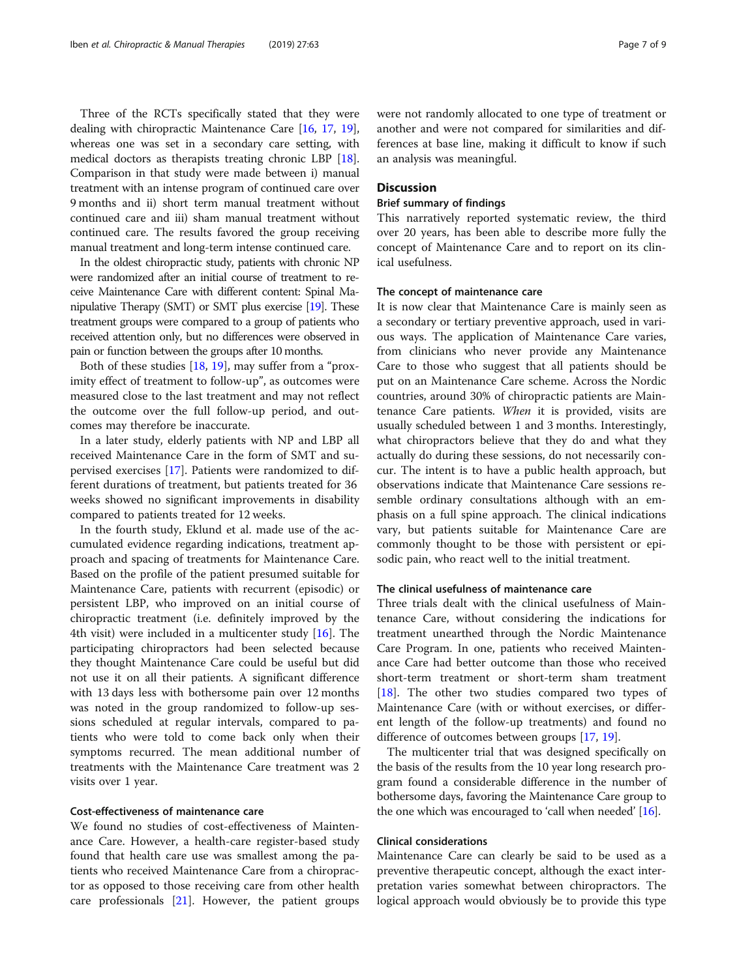Three of the RCTs specifically stated that they were dealing with chiropractic Maintenance Care [\[16,](#page-9-0) [17,](#page-9-0) [19](#page-9-0)], whereas one was set in a secondary care setting, with medical doctors as therapists treating chronic LBP [[18](#page-9-0)]. Comparison in that study were made between i) manual treatment with an intense program of continued care over 9 months and ii) short term manual treatment without continued care and iii) sham manual treatment without continued care. The results favored the group receiving manual treatment and long-term intense continued care.

In the oldest chiropractic study, patients with chronic NP were randomized after an initial course of treatment to receive Maintenance Care with different content: Spinal Manipulative Therapy (SMT) or SMT plus exercise [\[19](#page-9-0)]. These treatment groups were compared to a group of patients who received attention only, but no differences were observed in pain or function between the groups after 10 months.

Both of these studies [\[18,](#page-9-0) [19\]](#page-9-0), may suffer from a "proximity effect of treatment to follow-up", as outcomes were measured close to the last treatment and may not reflect the outcome over the full follow-up period, and outcomes may therefore be inaccurate.

In a later study, elderly patients with NP and LBP all received Maintenance Care in the form of SMT and supervised exercises [\[17](#page-9-0)]. Patients were randomized to different durations of treatment, but patients treated for 36 weeks showed no significant improvements in disability compared to patients treated for 12 weeks.

In the fourth study, Eklund et al. made use of the accumulated evidence regarding indications, treatment approach and spacing of treatments for Maintenance Care. Based on the profile of the patient presumed suitable for Maintenance Care, patients with recurrent (episodic) or persistent LBP, who improved on an initial course of chiropractic treatment (i.e. definitely improved by the 4th visit) were included in a multicenter study [[16\]](#page-9-0). The participating chiropractors had been selected because they thought Maintenance Care could be useful but did not use it on all their patients. A significant difference with 13 days less with bothersome pain over 12 months was noted in the group randomized to follow-up sessions scheduled at regular intervals, compared to patients who were told to come back only when their symptoms recurred. The mean additional number of treatments with the Maintenance Care treatment was 2 visits over 1 year.

#### Cost-effectiveness of maintenance care

We found no studies of cost-effectiveness of Maintenance Care. However, a health-care register-based study found that health care use was smallest among the patients who received Maintenance Care from a chiropractor as opposed to those receiving care from other health care professionals  $[21]$ . However, the patient groups were not randomly allocated to one type of treatment or another and were not compared for similarities and differences at base line, making it difficult to know if such an analysis was meaningful.

### **Discussion**

### Brief summary of findings

This narratively reported systematic review, the third over 20 years, has been able to describe more fully the concept of Maintenance Care and to report on its clinical usefulness.

#### The concept of maintenance care

It is now clear that Maintenance Care is mainly seen as a secondary or tertiary preventive approach, used in various ways. The application of Maintenance Care varies, from clinicians who never provide any Maintenance Care to those who suggest that all patients should be put on an Maintenance Care scheme. Across the Nordic countries, around 30% of chiropractic patients are Maintenance Care patients. When it is provided, visits are usually scheduled between 1 and 3 months. Interestingly, what chiropractors believe that they do and what they actually do during these sessions, do not necessarily concur. The intent is to have a public health approach, but observations indicate that Maintenance Care sessions resemble ordinary consultations although with an emphasis on a full spine approach. The clinical indications vary, but patients suitable for Maintenance Care are commonly thought to be those with persistent or episodic pain, who react well to the initial treatment.

#### The clinical usefulness of maintenance care

Three trials dealt with the clinical usefulness of Maintenance Care, without considering the indications for treatment unearthed through the Nordic Maintenance Care Program. In one, patients who received Maintenance Care had better outcome than those who received short-term treatment or short-term sham treatment [[18\]](#page-9-0). The other two studies compared two types of Maintenance Care (with or without exercises, or different length of the follow-up treatments) and found no difference of outcomes between groups [[17,](#page-9-0) [19\]](#page-9-0).

The multicenter trial that was designed specifically on the basis of the results from the 10 year long research program found a considerable difference in the number of bothersome days, favoring the Maintenance Care group to the one which was encouraged to 'call when needed' [\[16\]](#page-9-0).

#### Clinical considerations

Maintenance Care can clearly be said to be used as a preventive therapeutic concept, although the exact interpretation varies somewhat between chiropractors. The logical approach would obviously be to provide this type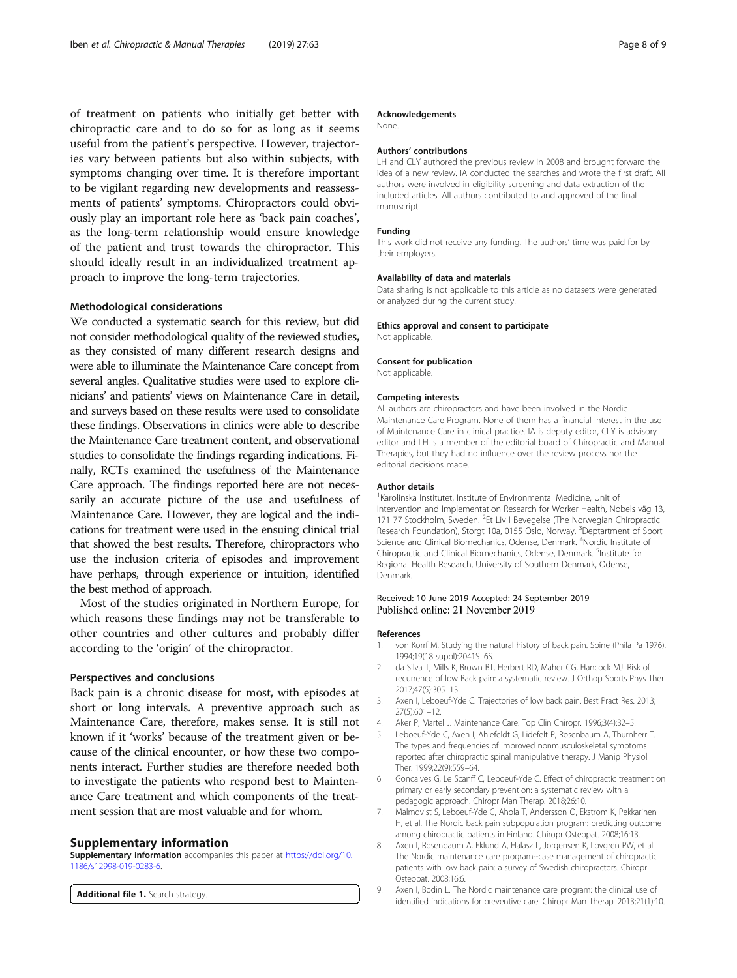<span id="page-8-0"></span>of treatment on patients who initially get better with chiropractic care and to do so for as long as it seems useful from the patient's perspective. However, trajectories vary between patients but also within subjects, with symptoms changing over time. It is therefore important to be vigilant regarding new developments and reassessments of patients' symptoms. Chiropractors could obviously play an important role here as 'back pain coaches', as the long-term relationship would ensure knowledge of the patient and trust towards the chiropractor. This should ideally result in an individualized treatment approach to improve the long-term trajectories.

#### Methodological considerations

We conducted a systematic search for this review, but did not consider methodological quality of the reviewed studies, as they consisted of many different research designs and were able to illuminate the Maintenance Care concept from several angles. Qualitative studies were used to explore clinicians' and patients' views on Maintenance Care in detail, and surveys based on these results were used to consolidate these findings. Observations in clinics were able to describe the Maintenance Care treatment content, and observational studies to consolidate the findings regarding indications. Finally, RCTs examined the usefulness of the Maintenance Care approach. The findings reported here are not necessarily an accurate picture of the use and usefulness of Maintenance Care. However, they are logical and the indications for treatment were used in the ensuing clinical trial that showed the best results. Therefore, chiropractors who use the inclusion criteria of episodes and improvement have perhaps, through experience or intuition, identified the best method of approach.

Most of the studies originated in Northern Europe, for which reasons these findings may not be transferable to other countries and other cultures and probably differ according to the 'origin' of the chiropractor.

#### Perspectives and conclusions

Back pain is a chronic disease for most, with episodes at short or long intervals. A preventive approach such as Maintenance Care, therefore, makes sense. It is still not known if it 'works' because of the treatment given or because of the clinical encounter, or how these two components interact. Further studies are therefore needed both to investigate the patients who respond best to Maintenance Care treatment and which components of the treatment session that are most valuable and for whom.

#### Supplementary information

Supplementary information accompanies this paper at [https://doi.org/10.](https://doi.org/10.1186/s12998-019-0283-6) [1186/s12998-019-0283-6.](https://doi.org/10.1186/s12998-019-0283-6)

Additional file 1. Search strategy.

#### Acknowledgements

None.

#### Authors' contributions

LH and CLY authored the previous review in 2008 and brought forward the idea of a new review. IA conducted the searches and wrote the first draft. All authors were involved in eligibility screening and data extraction of the included articles. All authors contributed to and approved of the final manuscript.

#### Funding

This work did not receive any funding. The authors' time was paid for by their employers.

#### Availability of data and materials

Data sharing is not applicable to this article as no datasets were generated or analyzed during the current study.

#### Ethics approval and consent to participate

Not applicable.

#### Consent for publication

Not applicable.

#### Competing interests

All authors are chiropractors and have been involved in the Nordic Maintenance Care Program. None of them has a financial interest in the use of Maintenance Care in clinical practice. IA is deputy editor, CLY is advisory editor and LH is a member of the editorial board of Chiropractic and Manual Therapies, but they had no influence over the review process nor the editorial decisions made.

#### Author details

<sup>1</sup> Karolinska Institutet, Institute of Environmental Medicine, Unit of Intervention and Implementation Research for Worker Health, Nobels väg 13, 171 77 Stockholm, Sweden. <sup>2</sup>Et Liv I Bevegelse (The Norwegian Chiropractic Research Foundation), Storgt 10a, 0155 Oslo, Norway. <sup>3</sup>Deptartment of Sport Science and Clinical Biomechanics, Odense, Denmark. <sup>4</sup>Nordic Institute of Chiropractic and Clinical Biomechanics, Odense, Denmark.<sup>5</sup>Institute for Regional Health Research, University of Southern Denmark, Odense, Denmark.

#### Received: 10 June 2019 Accepted: 24 September 2019 Published online: 21 November 2019

#### References

- 1. von Korrf M. Studying the natural history of back pain. Spine (Phila Pa 1976). 1994;19(18 suppl):2041S–6S.
- 2. da Silva T, Mills K, Brown BT, Herbert RD, Maher CG, Hancock MJ. Risk of recurrence of low Back pain: a systematic review. J Orthop Sports Phys Ther. 2017;47(5):305–13.
- 3. Axen I, Leboeuf-Yde C. Trajectories of low back pain. Best Pract Res. 2013; 27(5):601–12.
- 4. Aker P, Martel J. Maintenance Care. Top Clin Chiropr. 1996;3(4):32–5.
- 5. Leboeuf-Yde C, Axen I, Ahlefeldt G, Lidefelt P, Rosenbaum A, Thurnherr T. The types and frequencies of improved nonmusculoskeletal symptoms reported after chiropractic spinal manipulative therapy. J Manip Physiol Ther. 1999;22(9):559–64.
- 6. Goncalves G, Le Scanff C, Leboeuf-Yde C. Effect of chiropractic treatment on primary or early secondary prevention: a systematic review with a pedagogic approach. Chiropr Man Therap. 2018;26:10.
- 7. Malmqvist S, Leboeuf-Yde C, Ahola T, Andersson O, Ekstrom K, Pekkarinen H, et al. The Nordic back pain subpopulation program: predicting outcome among chiropractic patients in Finland. Chiropr Osteopat. 2008;16:13.
- 8. Axen I, Rosenbaum A, Eklund A, Halasz L, Jorgensen K, Lovgren PW, et al. The Nordic maintenance care program--case management of chiropractic patients with low back pain: a survey of Swedish chiropractors. Chiropr Osteopat. 2008;16:6.
- 9. Axen I, Bodin L. The Nordic maintenance care program: the clinical use of identified indications for preventive care. Chiropr Man Therap. 2013;21(1):10.